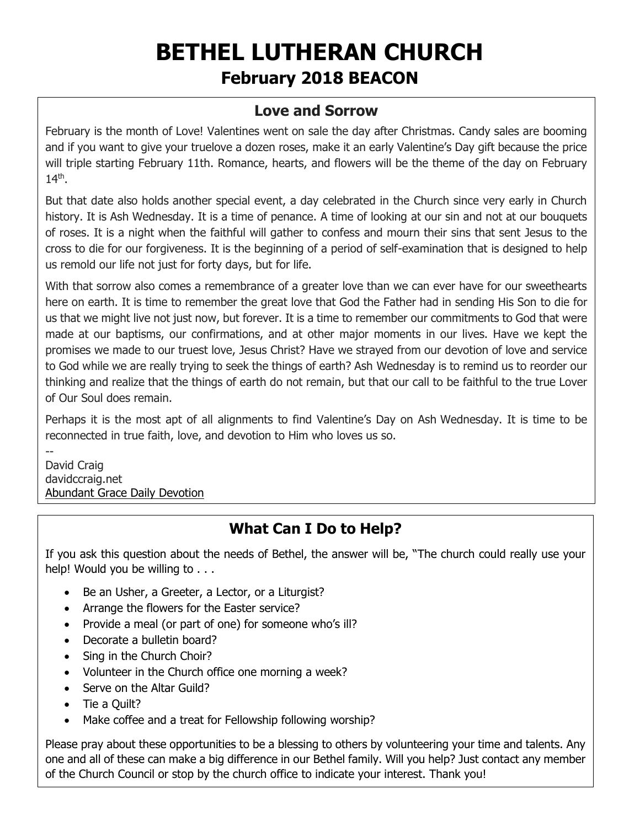# **BETHEL LUTHERAN CHURCH February 2018 BEACON**

### **Love and Sorrow**

February is the month of Love! Valentines went on sale the day after Christmas. Candy sales are booming and if you want to give your truelove a dozen roses, make it an early Valentine's Day gift because the price will triple starting February 11th. Romance, hearts, and flowers will be the theme of the day on February 14<sup>th</sup>.

But that date also holds another special event, a day celebrated in the Church since very early in Church history. It is Ash Wednesday. It is a time of penance. A time of looking at our sin and not at our bouquets of roses. It is a night when the faithful will gather to confess and mourn their sins that sent Jesus to the cross to die for our forgiveness. It is the beginning of a period of self-examination that is designed to help us remold our life not just for forty days, but for life.

With that sorrow also comes a remembrance of a greater love than we can ever have for our sweethearts here on earth. It is time to remember the great love that God the Father had in sending His Son to die for us that we might live not just now, but forever. It is a time to remember our commitments to God that were made at our baptisms, our confirmations, and at other major moments in our lives. Have we kept the promises we made to our truest love, Jesus Christ? Have we strayed from our devotion of love and service to God while we are really trying to seek the things of earth? Ash Wednesday is to remind us to reorder our thinking and realize that the things of earth do not remain, but that our call to be faithful to the true Lover of Our Soul does remain.

Perhaps it is the most apt of all alignments to find Valentine's Day on Ash Wednesday. It is time to be reconnected in true faith, love, and devotion to Him who loves us so.

-- David Craig davidccraig.net [Abundant Grace Daily Devotion](http://adoringgrace.blogspot.com/)

# **What Can I Do to Help?**

If you ask this question about the needs of Bethel, the answer will be, "The church could really use your help! Would you be willing to . . .

- Be an Usher, a Greeter, a Lector, or a Liturgist?
- Arrange the flowers for the Easter service?
- Provide a meal (or part of one) for someone who's ill?
- Decorate a bulletin board?
- Sing in the Church Choir?
- Volunteer in the Church office one morning a week?
- Serve on the Altar Guild?
- Tie a Quilt?
- Make coffee and a treat for Fellowship following worship?

Please pray about these opportunities to be a blessing to others by volunteering your time and talents. Any one and all of these can make a big difference in our Bethel family. Will you help? Just contact any member of the Church Council or stop by the church office to indicate your interest. Thank you!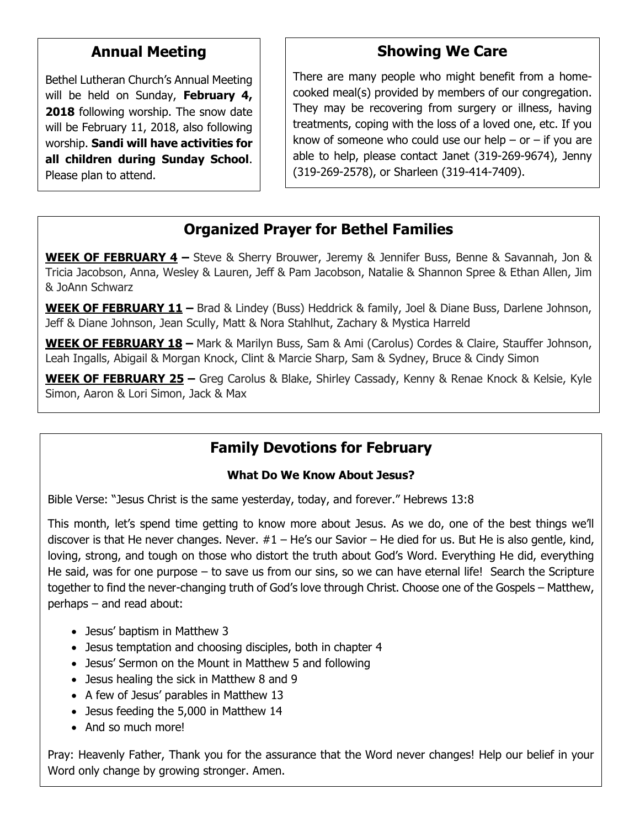### **Annual Meeting**

Bethel Lutheran Church's Annual Meeting will be held on Sunday, **February 4, 2018** following worship. The snow date will be February 11, 2018, also following worship. **Sandi will have activities for all children during Sunday School**. Please plan to attend.

# **Showing We Care**

There are many people who might benefit from a homecooked meal(s) provided by members of our congregation. They may be recovering from surgery or illness, having treatments, coping with the loss of a loved one, etc. If you know of someone who could use our help – or – if you are able to help, please contact Janet (319-269-9674), Jenny (319-269-2578), or Sharleen (319-414-7409).

## **Organized Prayer for Bethel Families**

**WEEK OF FEBRUARY 4 –** Steve & Sherry Brouwer, Jeremy & Jennifer Buss, Benne & Savannah, Jon & Tricia Jacobson, Anna, Wesley & Lauren, Jeff & Pam Jacobson, Natalie & Shannon Spree & Ethan Allen, Jim & JoAnn Schwarz

**WEEK OF FEBRUARY 11 –** Brad & Lindey (Buss) Heddrick & family, Joel & Diane Buss, Darlene Johnson, Jeff & Diane Johnson, Jean Scully, Matt & Nora Stahlhut, Zachary & Mystica Harreld

**WEEK OF FEBRUARY 18 –** Mark & Marilyn Buss, Sam & Ami (Carolus) Cordes & Claire, Stauffer Johnson, Leah Ingalls, Abigail & Morgan Knock, Clint & Marcie Sharp, Sam & Sydney, Bruce & Cindy Simon

**WEEK OF FEBRUARY 25 –** Greg Carolus & Blake, Shirley Cassady, Kenny & Renae Knock & Kelsie, Kyle Simon, Aaron & Lori Simon, Jack & Max

# **Family Devotions for February**

#### **What Do We Know About Jesus?**

Bible Verse: "Jesus Christ is the same yesterday, today, and forever." Hebrews 13:8

This month, let's spend time getting to know more about Jesus. As we do, one of the best things we'll discover is that He never changes. Never.  $#1 - He's$  our Savior – He died for us. But He is also gentle, kind, loving, strong, and tough on those who distort the truth about God's Word. Everything He did, everything He said, was for one purpose – to save us from our sins, so we can have eternal life! Search the Scripture together to find the never-changing truth of God's love through Christ. Choose one of the Gospels – Matthew, perhaps – and read about:

- Jesus' baptism in Matthew 3
- Jesus temptation and choosing disciples, both in chapter 4
- Jesus' Sermon on the Mount in Matthew 5 and following
- Jesus healing the sick in Matthew 8 and 9
- A few of Jesus' parables in Matthew 13
- Jesus feeding the 5,000 in Matthew 14
- And so much more!

Pray: Heavenly Father, Thank you for the assurance that the Word never changes! Help our belief in your Word only change by growing stronger. Amen.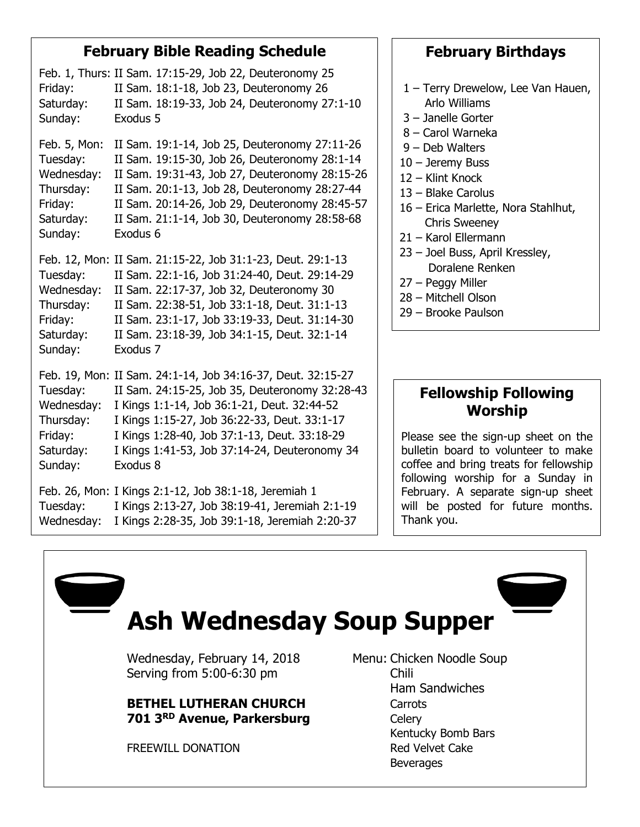### **February Bible Reading Schedule**

Feb. 1, Thurs: II Sam. 17:15-29, Job 22, Deuteronomy 25 Friday: II Sam. 18:1-18, Job 23, Deuteronomy 26 Saturday: II Sam. 18:19-33, Job 24, Deuteronomy 27:1-10 Sunday: Exodus 5 Feb. 5, Mon: II Sam. 19:1-14, Job 25, Deuteronomy 27:11-26 Tuesday: II Sam. 19:15-30, Job 26, Deuteronomy 28:1-14 Wednesday: II Sam. 19:31-43, Job 27, Deuteronomy 28:15-26 Thursday: II Sam. 20:1-13, Job 28, Deuteronomy 28:27-44 Friday: II Sam. 20:14-26, Job 29, Deuteronomy 28:45-57 Saturday: II Sam. 21:1-14, Job 30, Deuteronomy 28:58-68 Sunday: Exodus 6 Feb. 12, Mon: II Sam. 21:15-22, Job 31:1-23, Deut. 29:1-13 Tuesday: II Sam. 22:1-16, Job 31:24-40, Deut. 29:14-29 Wednesday: II Sam. 22:17-37, Job 32, Deuteronomy 30 Thursday: II Sam. 22:38-51, Job 33:1-18, Deut. 31:1-13 Friday: II Sam. 23:1-17, Job 33:19-33, Deut. 31:14-30 Saturday: II Sam. 23:18-39, Job 34:1-15, Deut. 32:1-14 Sunday: Exodus 7 Feb. 19, Mon: II Sam. 24:1-14, Job 34:16-37, Deut. 32:15-27 Tuesday: II Sam. 24:15-25, Job 35, Deuteronomy 32:28-43 Wednesday: I Kings 1:1-14, Job 36:1-21, Deut. 32:44-52 Thursday: I Kings 1:15-27, Job 36:22-33, Deut. 33:1-17 Friday: I Kings 1:28-40, Job 37:1-13, Deut. 33:18-29 Saturday: I Kings 1:41-53, Job 37:14-24, Deuteronomy 34 Sunday: Exodus 8 Feb. 26, Mon: I Kings 2:1-12, Job 38:1-18, Jeremiah 1 Tuesday: I Kings 2:13-27, Job 38:19-41, Jeremiah 2:1-19 Wednesday: I Kings 2:28-35, Job 39:1-18, Jeremiah 2:20-37

### **February Birthdays**

- 1 Terry Drewelow, Lee Van Hauen, Arlo Williams
- 3 Janelle Gorter
- 8 Carol Warneka
- 9 Deb Walters
- 10 Jeremy Buss
- 12 Klint Knock
- 13 Blake Carolus
- 16 Erica Marlette, Nora Stahlhut, Chris Sweeney
- 21 Karol Ellermann
- 23 Joel Buss, April Kressley, Doralene Renken
- 27 Peggy Miller
- 28 Mitchell Olson
- 29 Brooke Paulson

### **Fellowship Following Worship**

Please see the sign-up sheet on the bulletin board to volunteer to make coffee and bring treats for fellowship following worship for a Sunday in February. A separate sign-up sheet will be posted for future months. Thank you.

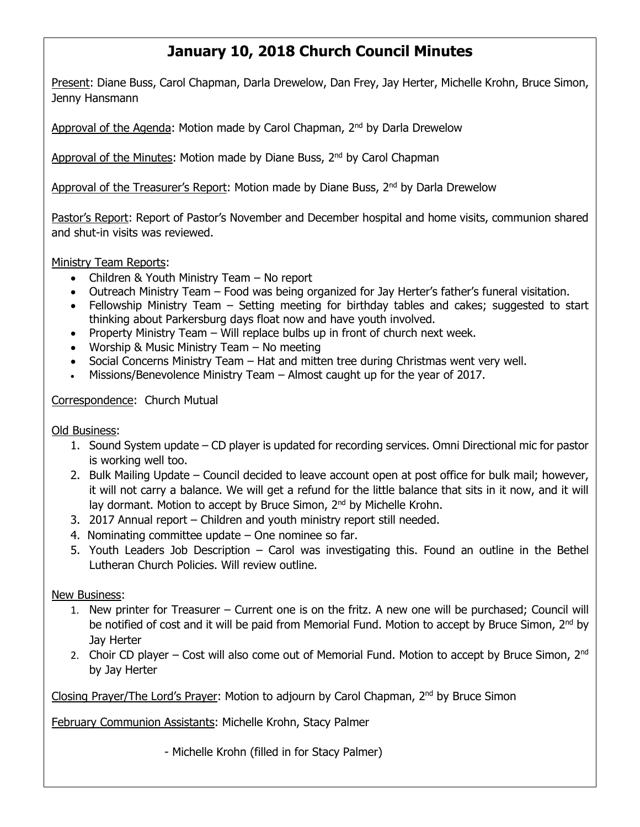# **January 10, 2018 Church Council Minutes**

Present: Diane Buss, Carol Chapman, Darla Drewelow, Dan Frey, Jay Herter, Michelle Krohn, Bruce Simon, Jenny Hansmann

Approval of the Agenda: Motion made by Carol Chapman, 2<sup>nd</sup> by Darla Drewelow

Approval of the Minutes: Motion made by Diane Buss, 2<sup>nd</sup> by Carol Chapman

Approval of the Treasurer's Report: Motion made by Diane Buss, 2<sup>nd</sup> by Darla Drewelow

Pastor's Report: Report of Pastor's November and December hospital and home visits, communion shared and shut-in visits was reviewed.

Ministry Team Reports:

- Children & Youth Ministry Team No report
- Outreach Ministry Team Food was being organized for Jay Herter's father's funeral visitation.
- Fellowship Ministry Team Setting meeting for birthday tables and cakes; suggested to start thinking about Parkersburg days float now and have youth involved.
- Property Ministry Team Will replace bulbs up in front of church next week.
- Worship & Music Ministry Team No meeting
- Social Concerns Ministry Team Hat and mitten tree during Christmas went very well.
- Missions/Benevolence Ministry Team Almost caught up for the year of 2017.

Correspondence: Church Mutual

Old Business:

- 1. Sound System update CD player is updated for recording services. Omni Directional mic for pastor is working well too.
- 2. Bulk Mailing Update Council decided to leave account open at post office for bulk mail; however, it will not carry a balance. We will get a refund for the little balance that sits in it now, and it will lay dormant. Motion to accept by Bruce Simon, 2<sup>nd</sup> by Michelle Krohn.
- 3. 2017 Annual report Children and youth ministry report still needed.
- 4. Nominating committee update One nominee so far.
- 5. Youth Leaders Job Description Carol was investigating this. Found an outline in the Bethel Lutheran Church Policies. Will review outline.

New Business:

- 1. New printer for Treasurer Current one is on the fritz. A new one will be purchased; Council will be notified of cost and it will be paid from Memorial Fund. Motion to accept by Bruce Simon,  $2^{nd}$  by Jay Herter
- 2. Choir CD player Cost will also come out of Memorial Fund. Motion to accept by Bruce Simon,  $2^{nd}$ by Jay Herter

Closing Prayer/The Lord's Prayer: Motion to adjourn by Carol Chapman, 2nd by Bruce Simon

February Communion Assistants: Michelle Krohn, Stacy Palmer

- Michelle Krohn (filled in for Stacy Palmer)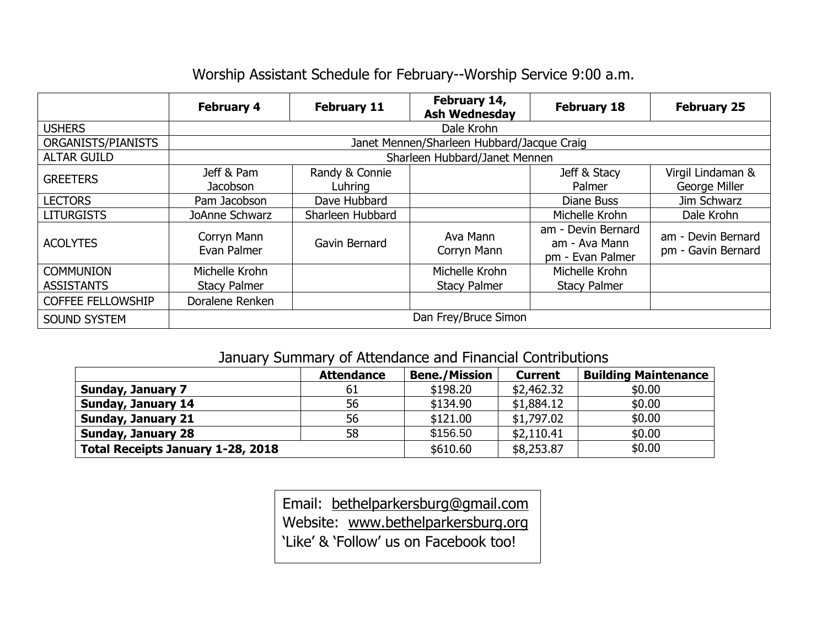# Worship Assistant Schedule for February--Worship Service 9:00 a.m.

|                                       | <b>February 4</b>                          | <b>February 11</b>        | February 14,<br><b>Ash Wednesday</b>  | <b>February 18</b>                                      | <b>February 25</b>                       |  |  |  |  |
|---------------------------------------|--------------------------------------------|---------------------------|---------------------------------------|---------------------------------------------------------|------------------------------------------|--|--|--|--|
| <b>USHERS</b>                         | Dale Krohn                                 |                           |                                       |                                                         |                                          |  |  |  |  |
| ORGANISTS/PIANISTS                    | Janet Mennen/Sharleen Hubbard/Jacque Craig |                           |                                       |                                                         |                                          |  |  |  |  |
| <b>ALTAR GUILD</b>                    | Sharleen Hubbard/Janet Mennen              |                           |                                       |                                                         |                                          |  |  |  |  |
| <b>GREETERS</b>                       | Jeff & Pam<br>Jacobson                     | Randy & Connie<br>Luhring |                                       | Jeff & Stacy<br>Palmer                                  | Virgil Lindaman &<br>George Miller       |  |  |  |  |
| <b>LECTORS</b>                        | Pam Jacobson                               | Dave Hubbard              |                                       | Diane Buss                                              | Jim Schwarz                              |  |  |  |  |
| <b>LITURGISTS</b>                     | JoAnne Schwarz                             | Sharleen Hubbard          |                                       | Michelle Krohn                                          | Dale Krohn                               |  |  |  |  |
| <b>ACOLYTES</b>                       | Corryn Mann<br>Evan Palmer                 | Gavin Bernard             | Ava Mann<br>Corryn Mann               | am - Devin Bernard<br>am - Ava Mann<br>pm - Evan Palmer | am - Devin Bernard<br>pm - Gavin Bernard |  |  |  |  |
| <b>COMMUNION</b><br><b>ASSISTANTS</b> | Michelle Krohn<br><b>Stacy Palmer</b>      |                           | Michelle Krohn<br><b>Stacy Palmer</b> | Michelle Krohn<br><b>Stacy Palmer</b>                   |                                          |  |  |  |  |
| <b>COFFEE FELLOWSHIP</b>              | Doralene Renken                            |                           |                                       |                                                         |                                          |  |  |  |  |
| <b>SOUND SYSTEM</b>                   | Dan Frey/Bruce Simon                       |                           |                                       |                                                         |                                          |  |  |  |  |

### January Summary of Attendance and Financial Contributions

|                                          | <b>Attendance</b> | <b>Bene./Mission</b> | <b>Current</b> | <b>Building Maintenance</b> |
|------------------------------------------|-------------------|----------------------|----------------|-----------------------------|
| <b>Sunday, January 7</b>                 | 61                | \$198.20             | \$2,462.32     | \$0.00                      |
| <b>Sunday, January 14</b>                | 56                | \$134.90             | \$1,884.12     | \$0.00                      |
| <b>Sunday, January 21</b>                | 56                | \$121.00             | \$1,797.02     | \$0.00                      |
| <b>Sunday, January 28</b>                | 58                | \$156.50             | \$2,110.41     | \$0.00                      |
| <b>Total Receipts January 1-28, 2018</b> |                   | \$610.60             | \$8,253.87     | \$0.00                      |

Email: [bethelparkersburg@gmail.com](mailto:bethelparkersburg@gmail.com) Website: [www.bethelparkersburg.org](http://www.bethelparkersburg.org/) 'Like' & 'Follow' us on Facebook too!